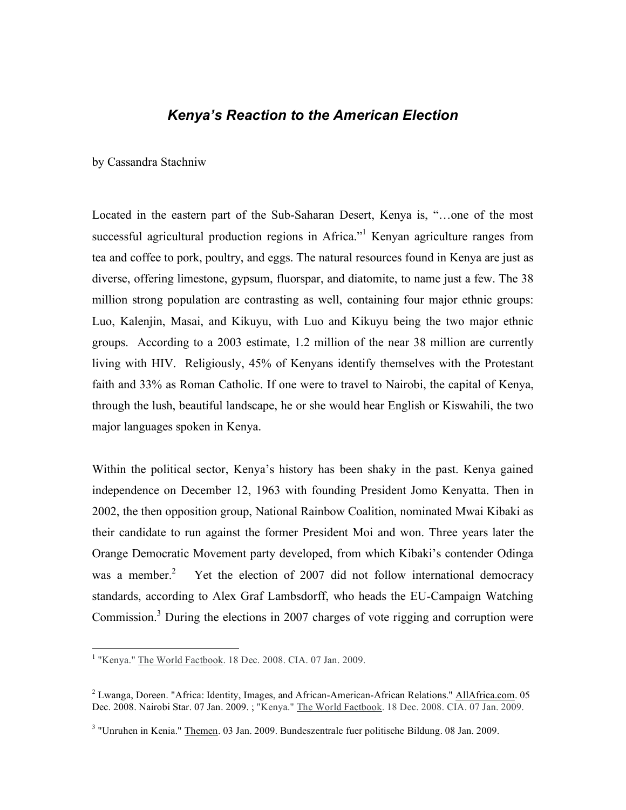## *Kenya's Reaction to the American Election*

by Cassandra Stachniw

Located in the eastern part of the Sub-Saharan Desert, Kenya is, "…one of the most successful agricultural production regions in Africa."<sup>1</sup> Kenyan agriculture ranges from tea and coffee to pork, poultry, and eggs. The natural resources found in Kenya are just as diverse, offering limestone, gypsum, fluorspar, and diatomite, to name just a few. The 38 million strong population are contrasting as well, containing four major ethnic groups: Luo, Kalenjin, Masai, and Kikuyu, with Luo and Kikuyu being the two major ethnic groups. According to a 2003 estimate, 1.2 million of the near 38 million are currently living with HIV. Religiously, 45% of Kenyans identify themselves with the Protestant faith and 33% as Roman Catholic. If one were to travel to Nairobi, the capital of Kenya, through the lush, beautiful landscape, he or she would hear English or Kiswahili, the two major languages spoken in Kenya.

Within the political sector, Kenya's history has been shaky in the past. Kenya gained independence on December 12, 1963 with founding President Jomo Kenyatta. Then in 2002, the then opposition group, National Rainbow Coalition, nominated Mwai Kibaki as their candidate to run against the former President Moi and won. Three years later the Orange Democratic Movement party developed, from which Kibaki's contender Odinga was a member. $<sup>2</sup>$ </sup> <sup>2</sup> Yet the election of 2007 did not follow international democracy standards, according to Alex Graf Lambsdorff, who heads the EU-Campaign Watching Commission.<sup>3</sup> During the elections in 2007 charges of vote rigging and corruption were

 <sup>1</sup> "Kenya." The World Factbook. <sup>18</sup> Dec. 2008. CIA. <sup>07</sup> Jan. 2009.

<sup>&</sup>lt;sup>2</sup> Lwanga, Doreen. "Africa: Identity, Images, and African-American-African Relations." AllAfrica.com. 05 Dec. 2008. Nairobi Star. 07 Jan. 2009. ; "Kenya." The World Factbook. 18 Dec. 2008. CIA. 07 Jan. 2009.

<sup>3</sup> "Unruhen in Kenia." Themen. 03 Jan. 2009. Bundeszentrale fuer politische Bildung. 08 Jan. 2009.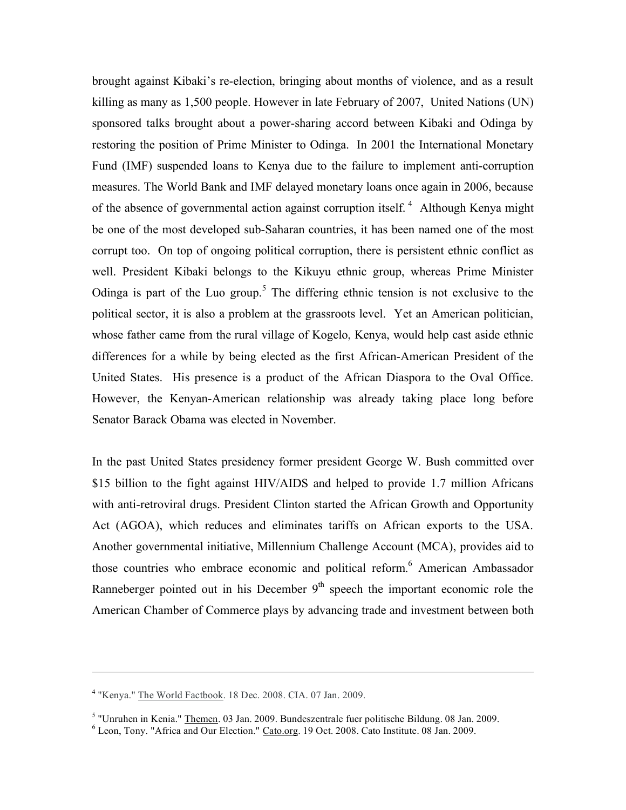brought against Kibaki's re-election, bringing about months of violence, and as a result killing as many as 1,500 people. However in late February of 2007, United Nations (UN) sponsored talks brought about a power-sharing accord between Kibaki and Odinga by restoring the position of Prime Minister to Odinga. In 2001 the International Monetary Fund (IMF) suspended loans to Kenya due to the failure to implement anti-corruption measures. The World Bank and IMF delayed monetary loans once again in 2006, because of the absence of governmental action against corruption itself.<sup>4</sup> Although Kenya might be one of the most developed sub-Saharan countries, it has been named one of the most corrupt too. On top of ongoing political corruption, there is persistent ethnic conflict as well. President Kibaki belongs to the Kikuyu ethnic group, whereas Prime Minister Odinga is part of the Luo group.<sup>5</sup> The differing ethnic tension is not exclusive to the political sector, it is also a problem at the grassroots level. Yet an American politician, whose father came from the rural village of Kogelo, Kenya, would help cast aside ethnic differences for a while by being elected as the first African-American President of the United States. His presence is a product of the African Diaspora to the Oval Office. However, the Kenyan-American relationship was already taking place long before Senator Barack Obama was elected in November.

In the past United States presidency former president George W. Bush committed over \$15 billion to the fight against HIV/AIDS and helped to provide 1.7 million Africans with anti-retroviral drugs. President Clinton started the African Growth and Opportunity Act (AGOA), which reduces and eliminates tariffs on African exports to the USA. Another governmental initiative, Millennium Challenge Account (MCA), provides aid to those countries who embrace economic and political reform. <sup>6</sup> American Ambassador Ranneberger pointed out in his December  $9<sup>th</sup>$  speech the important economic role the American Chamber of Commerce plays by advancing trade and investment between both

 $\overline{a}$ 

<sup>4</sup> "Kenya." The World Factbook. 18 Dec. 2008. CIA. 07 Jan. 2009.

<sup>&</sup>lt;sup>5</sup> "Unruhen in Kenia." <u>Themen</u>. 03 Jan. 2009. Bundeszentrale fuer politische Bildung. 08 Jan. 2009.  $6$  Leon, Tony. "Africa and Our Election." Cato.org. 19 Oct. 2008. Cato Institute. 08 Jan. 2009.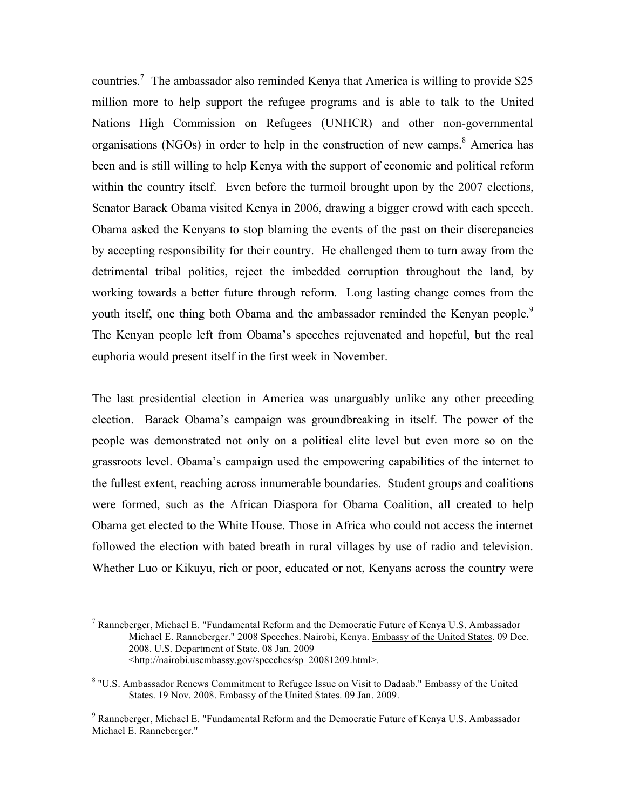countries.<sup>7</sup> The ambassador also reminded Kenya that America is willing to provide \$25 million more to help support the refugee programs and is able to talk to the United Nations High Commission on Refugees (UNHCR) and other non-governmental organisations (NGOs) in order to help in the construction of new camps.<sup>8</sup> America has been and is still willing to help Kenya with the support of economic and political reform within the country itself. Even before the turmoil brought upon by the 2007 elections, Senator Barack Obama visited Kenya in 2006, drawing a bigger crowd with each speech. Obama asked the Kenyans to stop blaming the events of the past on their discrepancies by accepting responsibility for their country. He challenged them to turn away from the detrimental tribal politics, reject the imbedded corruption throughout the land, by working towards a better future through reform. Long lasting change comes from the youth itself, one thing both Obama and the ambassador reminded the Kenyan people.<sup>9</sup> The Kenyan people left from Obama's speeches rejuvenated and hopeful, but the real euphoria would present itself in the first week in November.

The last presidential election in America was unarguably unlike any other preceding election. Barack Obama's campaign was groundbreaking in itself. The power of the people was demonstrated not only on a political elite level but even more so on the grassroots level. Obama's campaign used the empowering capabilities of the internet to the fullest extent, reaching across innumerable boundaries. Student groups and coalitions were formed, such as the African Diaspora for Obama Coalition, all created to help Obama get elected to the White House. Those in Africa who could not access the internet followed the election with bated breath in rural villages by use of radio and television. Whether Luo or Kikuyu, rich or poor, educated or not, Kenyans across the country were

 $7$  Ranneberger, Michael E. "Fundamental Reform and the Democratic Future of Kenya U.S. Ambassador Michael E. Ranneberger." 2008 Speeches. Nairobi, Kenya. Embassy of the United States. 09 Dec. 2008. U.S. Department of State. 08 Jan. 2009 <http://nairobi.usembassy.gov/speeches/sp\_20081209.html>.

<sup>&</sup>lt;sup>8</sup> "U.S. Ambassador Renews Commitment to Refugee Issue on Visit to Dadaab." Embassy of the United States. 19 Nov. 2008. Embassy of the United States. 09 Jan. 2009.

<sup>9</sup> Ranneberger, Michael E. "Fundamental Reform and the Democratic Future of Kenya U.S. Ambassador Michael E. Ranneberger."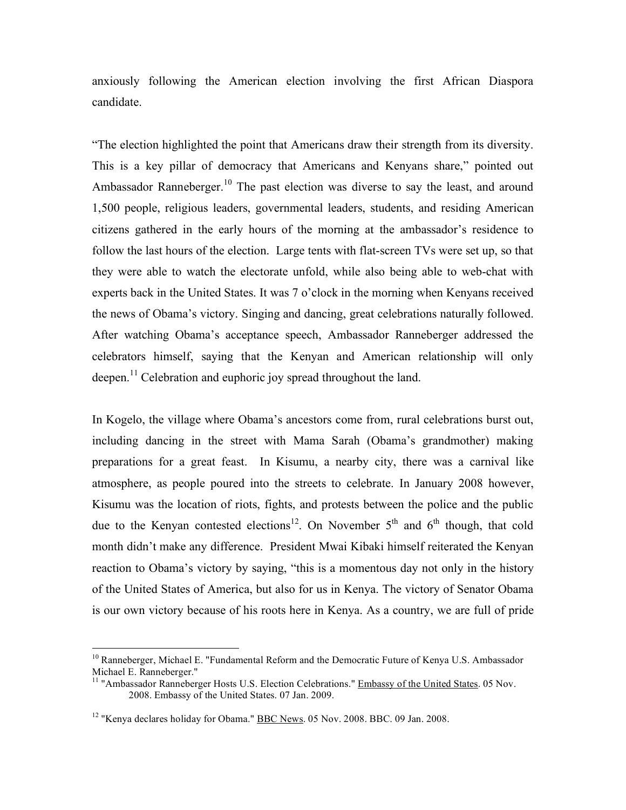anxiously following the American election involving the first African Diaspora candidate.

"The election highlighted the point that Americans draw their strength from its diversity. This is a key pillar of democracy that Americans and Kenyans share," pointed out Ambassador Ranneberger.<sup>10</sup> The past election was diverse to say the least, and around 1,500 people, religious leaders, governmental leaders, students, and residing American citizens gathered in the early hours of the morning at the ambassador's residence to follow the last hours of the election. Large tents with flat-screen TVs were set up, so that they were able to watch the electorate unfold, while also being able to web-chat with experts back in the United States. It was 7 o'clock in the morning when Kenyans received the news of Obama's victory. Singing and dancing, great celebrations naturally followed. After watching Obama's acceptance speech, Ambassador Ranneberger addressed the celebrators himself, saying that the Kenyan and American relationship will only deepen.<sup>11</sup> Celebration and euphoric joy spread throughout the land.

In Kogelo, the village where Obama's ancestors come from, rural celebrations burst out, including dancing in the street with Mama Sarah (Obama's grandmother) making preparations for a great feast. In Kisumu, a nearby city, there was a carnival like atmosphere, as people poured into the streets to celebrate. In January 2008 however, Kisumu was the location of riots, fights, and protests between the police and the public due to the Kenyan contested elections<sup>12</sup>. On November  $5<sup>th</sup>$  and  $6<sup>th</sup>$  though, that cold month didn't make any difference. President Mwai Kibaki himself reiterated the Kenyan reaction to Obama's victory by saying, "this is a momentous day not only in the history of the United States of America, but also for us in Kenya. The victory of Senator Obama is our own victory because of his roots here in Kenya. As a country, we are full of pride

 $10$  Ranneberger, Michael E. "Fundamental Reform and the Democratic Future of Kenya U.S. Ambassador Michael E. Ranneberger."

<sup>&</sup>lt;sup>11</sup> "Ambassador Ranneberger Hosts U.S. Election Celebrations." Embassy of the United States. 05 Nov. 2008. Embassy of the United States. 07 Jan. 2009.

<sup>&</sup>lt;sup>12</sup> "Kenya declares holiday for Obama." **BBC News. 05 Nov. 2008. BBC. 09 Jan. 2008.**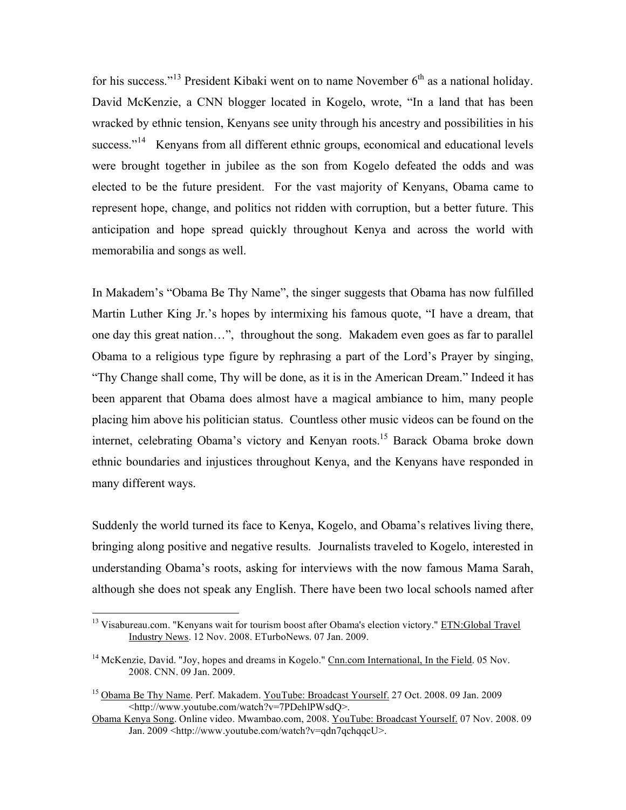for his success."<sup>13</sup> President Kibaki went on to name November  $6<sup>th</sup>$  as a national holiday. David McKenzie, a CNN blogger located in Kogelo, wrote, "In a land that has been wracked by ethnic tension, Kenyans see unity through his ancestry and possibilities in his success."<sup>14</sup> Kenyans from all different ethnic groups, economical and educational levels were brought together in jubilee as the son from Kogelo defeated the odds and was elected to be the future president. For the vast majority of Kenyans, Obama came to represent hope, change, and politics not ridden with corruption, but a better future. This anticipation and hope spread quickly throughout Kenya and across the world with memorabilia and songs as well.

In Makadem's "Obama Be Thy Name", the singer suggests that Obama has now fulfilled Martin Luther King Jr.'s hopes by intermixing his famous quote, "I have a dream, that one day this great nation…", throughout the song. Makadem even goes as far to parallel Obama to a religious type figure by rephrasing a part of the Lord's Prayer by singing, "Thy Change shall come, Thy will be done, as it is in the American Dream." Indeed it has been apparent that Obama does almost have a magical ambiance to him, many people placing him above his politician status. Countless other music videos can be found on the internet, celebrating Obama's victory and Kenyan roots.<sup>15</sup> Barack Obama broke down ethnic boundaries and injustices throughout Kenya, and the Kenyans have responded in many different ways.

Suddenly the world turned its face to Kenya, Kogelo, and Obama's relatives living there, bringing along positive and negative results. Journalists traveled to Kogelo, interested in understanding Obama's roots, asking for interviews with the now famous Mama Sarah, although she does not speak any English. There have been two local schools named after

<sup>&</sup>lt;sup>13</sup> Visabureau.com. "Kenyans wait for tourism boost after Obama's election victory." ETN:Global Travel Industry News. 12 Nov. 2008. ETurboNews. 07 Jan. 2009.

<sup>&</sup>lt;sup>14</sup> McKenzie, David. "Joy, hopes and dreams in Kogelo." Cnn.com International, In the Field. 05 Nov. 2008. CNN. 09 Jan. 2009.

<sup>&</sup>lt;sup>15</sup> Obama Be Thy Name. Perf. Makadem. YouTube: Broadcast Yourself. 27 Oct. 2008. 09 Jan. 2009 <http://www.youtube.com/watch?v=7PDehlPWsdQ>.

Obama Kenya Song. Online video. Mwambao.com, 2008. YouTube: Broadcast Yourself. 07 Nov. 2008. 09 Jan. 2009 <http://www.youtube.com/watch?v=qdn7qchqqcU>.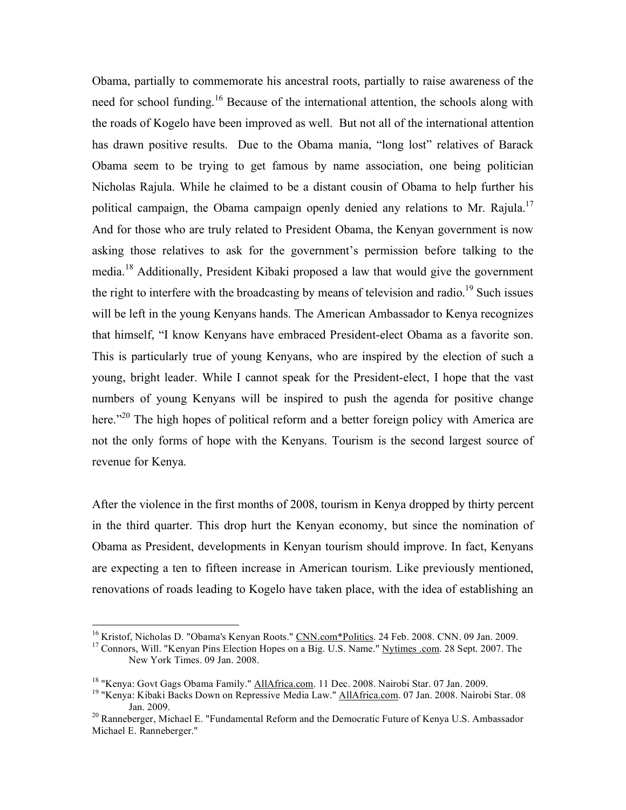Obama, partially to commemorate his ancestral roots, partially to raise awareness of the need for school funding.<sup>16</sup> Because of the international attention, the schools along with the roads of Kogelo have been improved as well. But not all of the international attention has drawn positive results. Due to the Obama mania, "long lost" relatives of Barack Obama seem to be trying to get famous by name association, one being politician Nicholas Rajula. While he claimed to be a distant cousin of Obama to help further his political campaign, the Obama campaign openly denied any relations to Mr. Rajula.<sup>17</sup> And for those who are truly related to President Obama, the Kenyan government is now asking those relatives to ask for the government's permission before talking to the media.<sup>18</sup> Additionally, President Kibaki proposed a law that would give the government the right to interfere with the broadcasting by means of television and radio.<sup>19</sup> Such issues will be left in the young Kenyans hands. The American Ambassador to Kenya recognizes that himself, "I know Kenyans have embraced President-elect Obama as a favorite son. This is particularly true of young Kenyans, who are inspired by the election of such a young, bright leader. While I cannot speak for the President-elect, I hope that the vast numbers of young Kenyans will be inspired to push the agenda for positive change here."<sup>20</sup> The high hopes of political reform and a better foreign policy with America are not the only forms of hope with the Kenyans. Tourism is the second largest source of revenue for Kenya.

After the violence in the first months of 2008, tourism in Kenya dropped by thirty percent in the third quarter. This drop hurt the Kenyan economy, but since the nomination of Obama as President, developments in Kenyan tourism should improve. In fact, Kenyans are expecting a ten to fifteen increase in American tourism. Like previously mentioned, renovations of roads leading to Kogelo have taken place, with the idea of establishing an

<sup>&</sup>lt;sup>16</sup> Kristof, Nicholas D. "Obama's Kenyan Roots." CNN.com\*Politics. 24 Feb. 2008. CNN. 09 Jan. 2009.<br><sup>17</sup> Connors, Will. "Kenyan Pins Election Hopes on a Big. U.S. Name." <u>Nytimes .com</u>. 28 Sept. 2007. The

New York Times. 09 Jan. 2008.

<sup>&</sup>lt;sup>18</sup> "Kenya: Govt Gags Obama Family." AllAfrica.com. 11 Dec. 2008. Nairobi Star. 07 Jan. 2009.<br><sup>19</sup> "Kenya: Kibaki Backs Down on Repressive Media Law." AllAfrica.com. 07 Jan. 2008. Nairobi Star. 08 Jan. 2009. <sup>20</sup> Ranneberger, Michael E. "Fundamental Reform and the Democratic Future of Kenya U.S. Ambassador

Michael E. Ranneberger."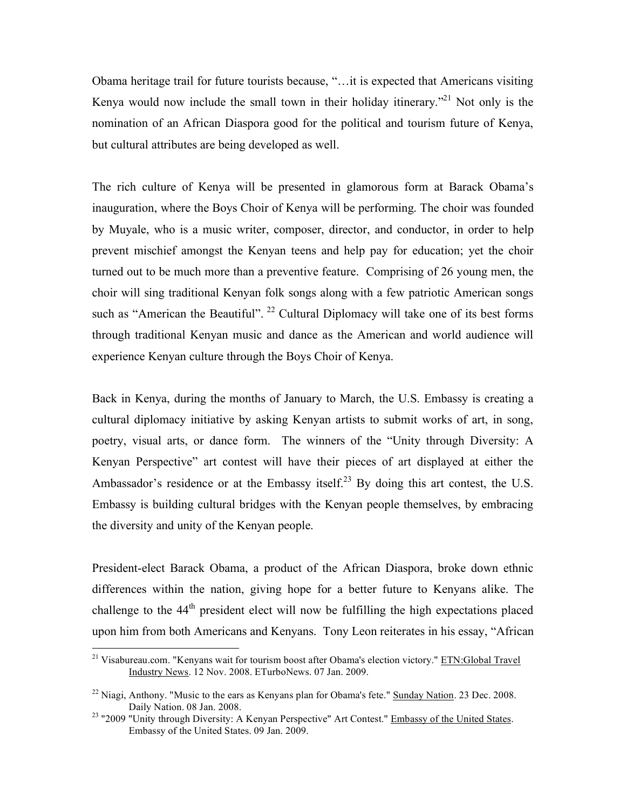Obama heritage trail for future tourists because, "…it is expected that Americans visiting Kenya would now include the small town in their holiday itinerary.<sup> $21$ </sup> Not only is the nomination of an African Diaspora good for the political and tourism future of Kenya, but cultural attributes are being developed as well.

The rich culture of Kenya will be presented in glamorous form at Barack Obama's inauguration, where the Boys Choir of Kenya will be performing. The choir was founded by Muyale, who is a music writer, composer, director, and conductor, in order to help prevent mischief amongst the Kenyan teens and help pay for education; yet the choir turned out to be much more than a preventive feature. Comprising of 26 young men, the choir will sing traditional Kenyan folk songs along with a few patriotic American songs such as "American the Beautiful".  $^{22}$  Cultural Diplomacy will take one of its best forms through traditional Kenyan music and dance as the American and world audience will experience Kenyan culture through the Boys Choir of Kenya.

Back in Kenya, during the months of January to March, the U.S. Embassy is creating a cultural diplomacy initiative by asking Kenyan artists to submit works of art, in song, poetry, visual arts, or dance form. The winners of the "Unity through Diversity: A Kenyan Perspective" art contest will have their pieces of art displayed at either the Ambassador's residence or at the Embassy itself.<sup>23</sup> By doing this art contest, the U.S. Embassy is building cultural bridges with the Kenyan people themselves, by embracing the diversity and unity of the Kenyan people.

President-elect Barack Obama, a product of the African Diaspora, broke down ethnic differences within the nation, giving hope for a better future to Kenyans alike. The challenge to the  $44<sup>th</sup>$  president elect will now be fulfilling the high expectations placed upon him from both Americans and Kenyans. Tony Leon reiterates in his essay, "African

<sup>&</sup>lt;sup>21</sup> Visabureau.com. "Kenyans wait for tourism boost after Obama's election victory." ETN:Global Travel Industry News. 12 Nov. 2008. ETurboNews. 07 Jan. 2009.

<sup>&</sup>lt;sup>22</sup> Niagi, Anthony. "Music to the ears as Kenyans plan for Obama's fete." Sunday Nation. 23 Dec. 2008. Daily Nation. 08 Jan. 2008.<br><sup>23</sup> "2009 "Unity through Diversity: A Kenyan Perspective" Art Contest." **Embassy of the United States**.

Embassy of the United States. 09 Jan. 2009.